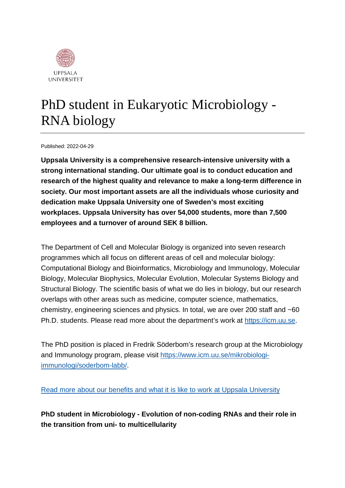

# PhD student in Eukaryotic Microbiology - RNA biology

Published: 2022-04-29

**Uppsala University is a comprehensive research-intensive university with a strong international standing. Our ultimate goal is to conduct education and research of the highest quality and relevance to make a long-term difference in society. Our most important assets are all the individuals whose curiosity and dedication make Uppsala University one of Sweden's most exciting workplaces. Uppsala University has over 54,000 students, more than 7,500 employees and a turnover of around SEK 8 billion.**

The Department of Cell and Molecular Biology is organized into seven research programmes which all focus on different areas of cell and molecular biology: Computational Biology and Bioinformatics, Microbiology and Immunology, Molecular Biology, Molecular Biophysics, Molecular Evolution, Molecular Systems Biology and Structural Biology. The scientific basis of what we do lies in biology, but our research overlaps with other areas such as medicine, computer science, mathematics, chemistry, engineering sciences and physics. In total, we are over 200 staff and ~60 Ph.D. students. Please read more about the department's work at [https://icm.uu.se.](https://icm.uu.se/)

The PhD position is placed in Fredrik Söderbom's research group at the Microbiology and Immunology program, please visit [https://www.icm.uu.se/mikrobiologi](https://www.icm.uu.se/mikrobiologi-immunologi/soderbom-labb/)[immunologi/soderbom-labb/.](https://www.icm.uu.se/mikrobiologi-immunologi/soderbom-labb/)

[Read more about our benefits and what it is like to work at Uppsala University](https://www.uu.se/en/about-uu/join-us/)

**PhD student in Microbiology - Evolution of non-coding RNAs and their role in the transition from uni- to multicellularity**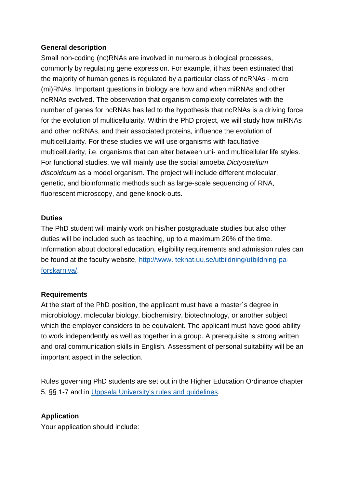## **General description**

Small non-coding (nc)RNAs are involved in numerous biological processes, commonly by regulating gene expression. For example, it has been estimated that the majority of human genes is regulated by a particular class of ncRNAs - micro (mi)RNAs. Important questions in biology are how and when miRNAs and other ncRNAs evolved. The observation that organism complexity correlates with the number of genes for ncRNAs has led to the hypothesis that ncRNAs is a driving force for the evolution of multicellularity. Within the PhD project, we will study how miRNAs and other ncRNAs, and their associated proteins, influence the evolution of multicellularity. For these studies we will use organisms with facultative multicellularity, i.e. organisms that can alter between uni- and multicellular life styles. For functional studies, we will mainly use the social amoeba *Dictyostelium discoideum* as a model organism. The project will include different molecular, genetic, and bioinformatic methods such as large-scale sequencing of RNA, fluorescent microscopy, and gene knock-outs.

#### **Duties**

The PhD student will mainly work on his/her postgraduate studies but also other duties will be included such as teaching, up to a maximum 20% of the time. Information about doctoral education, eligibility requirements and admission rules can be found at the faculty website, http://www. teknat.uu.se/utbildning/utbildning-paforskarniva/.

## **Requirements**

At the start of the PhD position, the applicant must have a master´s degree in microbiology, molecular biology, biochemistry, biotechnology, or another subject which the employer considers to be equivalent. The applicant must have good ability to work independently as well as together in a group. A prerequisite is strong written and oral communication skills in English. Assessment of personal suitability will be an important aspect in the selection.

Rules governing PhD students are set out in the Higher Education Ordinance chapter 5, §§ 1-7 and in [Uppsala University's rules and guidelines.](https://regler.uu.se/?languageId=1)

## **Application**

Your application should include: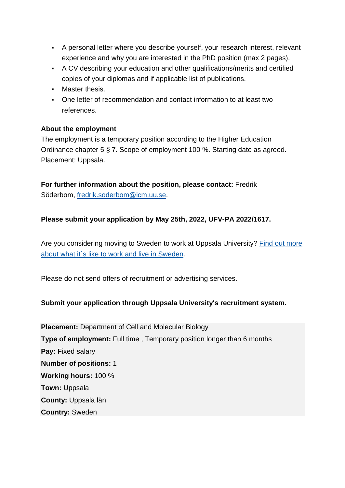- A personal letter where you describe yourself, your research interest, relevant experience and why you are interested in the PhD position (max 2 pages).
- A CV describing your education and other qualifications/merits and certified copies of your diplomas and if applicable list of publications.
- **Master thesis.**
- One letter of recommendation and contact information to at least two references.

## **About the employment**

The employment is a temporary position according to the Higher Education Ordinance chapter 5 § 7*.* Scope of employment 100 %. Starting date as agreed. Placement: Uppsala.

**For further information about the position, please contact:** Fredrik Söderbom, [fredrik.soderbom@icm.uu.se.](mailto:fredrik.soderbom@icm.uu.se)

## **Please submit your application by May 25th, 2022, UFV-PA 2022/1617.**

Are you considering moving to Sweden to work at Uppsala University? Find out more [about what it´s like to work and live in](https://www.uu.se/en/about-uu/join-us/advantages/) Sweden.

Please do not send offers of recruitment or advertising services.

## **Submit your application through Uppsala University's recruitment system.**

**Placement:** Department of Cell and Molecular Biology **Type of employment:** Full time , Temporary position longer than 6 months **Pay:** Fixed salary **Number of positions:** 1 **Working hours:** 100 % **Town:** Uppsala **County:** Uppsala län **Country:** Sweden